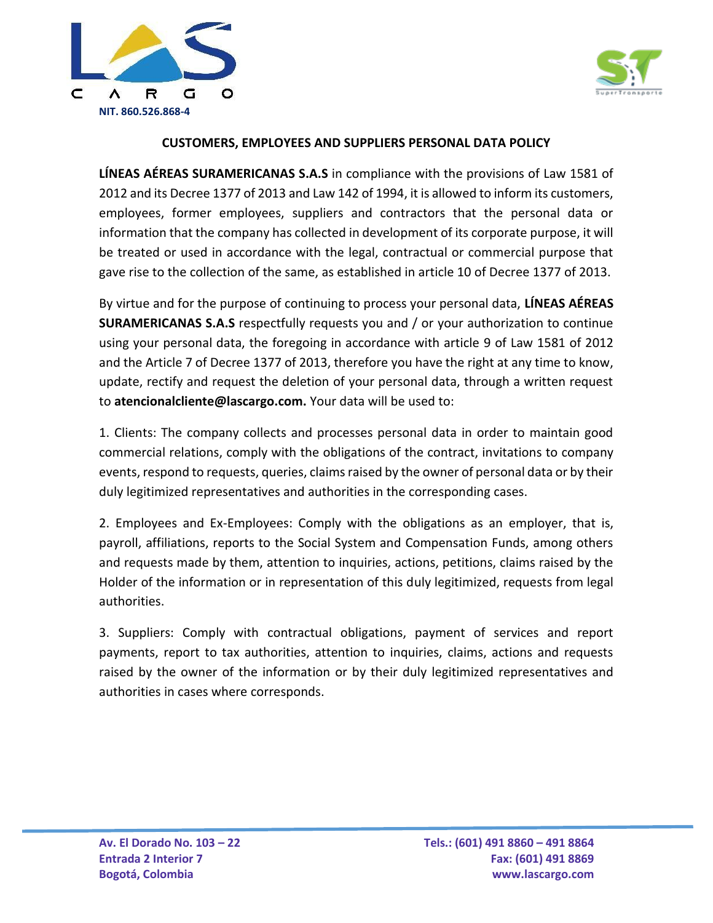



## **CUSTOMERS, EMPLOYEES AND SUPPLIERS PERSONAL DATA POLICY**

**LÍNEAS AÉREAS SURAMERICANAS S.A.S** in compliance with the provisions of Law 1581 of 2012 and its Decree 1377 of 2013 and Law 142 of 1994, it is allowed to inform its customers, employees, former employees, suppliers and contractors that the personal data or information that the company has collected in development of its corporate purpose, it will be treated or used in accordance with the legal, contractual or commercial purpose that gave rise to the collection of the same, as established in article 10 of Decree 1377 of 2013.

By virtue and for the purpose of continuing to process your personal data, **LÍNEAS AÉREAS SURAMERICANAS S.A.S** respectfully requests you and / or your authorization to continue using your personal data, the foregoing in accordance with article 9 of Law 1581 of 2012 and the Article 7 of Decree 1377 of 2013, therefore you have the right at any time to know, update, rectify and request the deletion of your personal data, through a written request to **atencionalcliente@lascargo.com.** Your data will be used to:

1. Clients: The company collects and processes personal data in order to maintain good commercial relations, comply with the obligations of the contract, invitations to company events, respond to requests, queries, claims raised by the owner of personal data or by their duly legitimized representatives and authorities in the corresponding cases.

2. Employees and Ex-Employees: Comply with the obligations as an employer, that is, payroll, affiliations, reports to the Social System and Compensation Funds, among others and requests made by them, attention to inquiries, actions, petitions, claims raised by the Holder of the information or in representation of this duly legitimized, requests from legal authorities.

3. Suppliers: Comply with contractual obligations, payment of services and report payments, report to tax authorities, attention to inquiries, claims, actions and requests raised by the owner of the information or by their duly legitimized representatives and authorities in cases where corresponds.